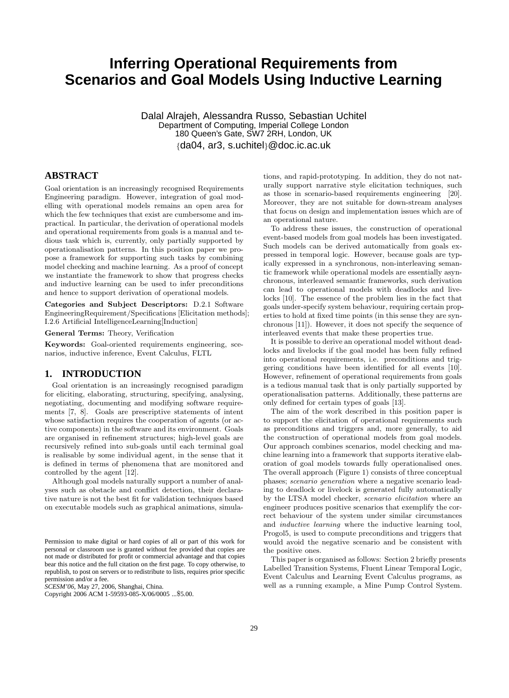# **Inferring Operational Requirements from Scenarios and Goal Models Using Inductive Learning**

Dalal Alrajeh, Alessandra Russo, Sebastian Uchitel Department of Computing, Imperial College London 180 Queen's Gate, SW7 2RH, London, UK {da04, ar3, s.uchitel}@doc.ic.ac.uk

# **ABSTRACT**

Goal orientation is an increasingly recognised Requirements Engineering paradigm. However, integration of goal modelling with operational models remains an open area for which the few techniques that exist are cumbersome and impractical. In particular, the derivation of operational models and operational requirements from goals is a manual and tedious task which is, currently, only partially supported by operationalisation patterns. In this position paper we propose a framework for supporting such tasks by combining model checking and machine learning. As a proof of concept we instantiate the framework to show that progress checks and inductive learning can be used to infer preconditions and hence to support derivation of operational models.

**Categories and Subject Descriptors:** D.2.1 Software EngineeringRequirement/Specifications [Elicitation methods]; I.2.6 Artificial IntelligenceLearning[Induction]

**General Terms:** Theory, Verification

**Keywords:** Goal-oriented requirements engineering, scenarios, inductive inference, Event Calculus, FLTL

#### **1. INTRODUCTION**

Goal orientation is an increasingly recognised paradigm for eliciting, elaborating, structuring, specifying, analysing, negotiating, documenting and modifying software requirements [7, 8]. Goals are prescriptive statements of intent whose satisfaction requires the cooperation of agents (or active components) in the software and its environment. Goals are organised in refinement structures; high-level goals are recursively refined into sub-goals until each terminal goal is realisable by some individual agent, in the sense that it is defined in terms of phenomena that are monitored and controlled by the agent [12].

Although goal models naturally support a number of analyses such as obstacle and conflict detection, their declarative nature is not the best fit for validation techniques based on executable models such as graphical animations, simula-

*SCESM'06,* May 27, 2006, Shanghai, China.

Copyright 2006 ACM 1-59593-085-X/06/0005 ...\$5.00.

tions, and rapid-prototyping. In addition, they do not naturally support narrative style elicitation techniques, such as those in scenario-based requirements engineering [20]. Moreover, they are not suitable for down-stream analyses that focus on design and implementation issues which are of an operational nature.

To address these issues, the construction of operational event-based models from goal models has been investigated. Such models can be derived automatically from goals expressed in temporal logic. However, because goals are typically expressed in a synchronous, non-interleaving semantic framework while operational models are essentially asynchronous, interleaved semantic frameworks, such derivation can lead to operational models with deadlocks and livelocks [10]. The essence of the problem lies in the fact that goals under-specify system behaviour, requiring certain properties to hold at fixed time points (in this sense they are synchronous [11]). However, it does not specify the sequence of interleaved events that make these properties true.

It is possible to derive an operational model without deadlocks and livelocks if the goal model has been fully refined into operational requirements, i.e. preconditions and triggering conditions have been identified for all events [10]. However, refinement of operational requirements from goals is a tedious manual task that is only partially supported by operationalisation patterns. Additionally, these patterns are only defined for certain types of goals [13].

The aim of the work described in this position paper is to support the elicitation of operational requirements such as preconditions and triggers and, more generally, to aid the construction of operational models from goal models. Our approach combines scenarios, model checking and machine learning into a framework that supports iterative elaboration of goal models towards fully operationalised ones. The overall approach (Figure 1) consists of three conceptual phases; *scenario generation* where a negative scenario leading to deadlock or livelock is generated fully automatically by the LTSA model checker, *scenario elicitation* where an engineer produces positive scenarios that exemplify the correct behaviour of the system under similar circumstances and *inductive learning* where the inductive learning tool, Progol5, is used to compute preconditions and triggers that would avoid the negative scenario and be consistent with the positive ones.

This paper is organised as follows: Section 2 briefly presents Labelled Transition Systems, Fluent Linear Temporal Logic, Event Calculus and Learning Event Calculus programs, as well as a running example, a Mine Pump Control System.

Permission to make digital or hard copies of all or part of this work for personal or classroom use is granted without fee provided that copies are not made or distributed for profit or commercial advantage and that copies bear this notice and the full citation on the first page. To copy otherwise, to republish, to post on servers or to redistribute to lists, requires prior specific permission and/or a fee.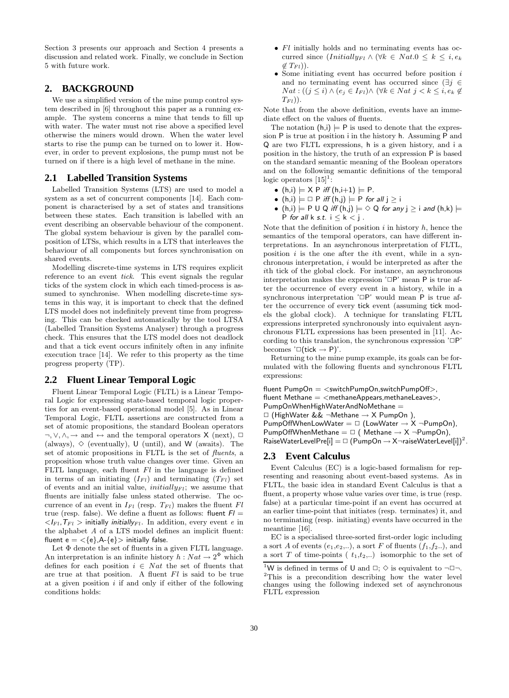Section 3 presents our approach and Section 4 presents a discussion and related work. Finally, we conclude in Section 5 with future work.

# **2. BACKGROUND**

We use a simplified version of the mine pump control system described in [6] throughout this paper as a running example. The system concerns a mine that tends to fill up with water. The water must not rise above a specified level otherwise the miners would drown. When the water level starts to rise the pump can be turned on to lower it. However, in order to prevent explosions, the pump must not be turned on if there is a high level of methane in the mine.

# **2.1 Labelled Transition Systems**

Labelled Transition Systems (LTS) are used to model a system as a set of concurrent components [14]. Each component is characterised by a set of states and transitions between these states. Each transition is labelled with an event describing an observable behaviour of the component. The global system behaviour is given by the parallel composition of LTSs, which results in a LTS that interleaves the behaviour of all components but forces synchronisation on shared events.

Modelling discrete-time systems in LTS requires explicit reference to an event *tick*. This event signals the regular ticks of the system clock in which each timed-process is assumed to synchronise. When modelling discrete-time systems in this way, it is important to check that the defined LTS model does not indefinitely prevent time from progressing. This can be checked automatically by the tool LTSA (Labelled Transition Systems Analyser) through a progress check. This ensures that the LTS model does not deadlock and that a tick event occurs infinitely often in any infinite execution trace [14]. We refer to this property as the time progress property (TP).

## **2.2 Fluent Linear Temporal Logic**

Fluent Linear Temporal Logic (FLTL) is a Linear Temporal Logic for expressing state-based temporal logic properties for an event-based operational model [5]. As in Linear Temporal Logic, FLTL assertions are constructed from a set of atomic propositions, the standard Boolean operators  $\neg, \vee, \wedge, \rightarrow$  and  $\leftrightarrow$  and the temporal operators X (next),  $\Box$ (always),  $\diamond$  (eventually), U (until), and W (awaits). The set of atomic propositions in FLTL is the set of *fluents*, a proposition whose truth value changes over time. Given an FLTL language, each fluent  $Fl$  in the language is defined in terms of an initiating  $(I_{Fl})$  and terminating  $(T_{Fl})$  set of events and an initial value, *initially*<sub>*Fl*</sub>; we assume that fluents are initially false unless stated otherwise. The occurrence of an event in  $I_{FI}$  (resp.  $T_{FI}$ ) makes the fluent  $Fl$ true (resp. false). We define a fluent as follows: fluent  $Fl =$  $\langle I_{Fl}, T_{Fl} \rangle$  initially *initially<sub>Fl</sub>*. In addition, every event *e* in the alphabet *A* of a LTS model defines an implicit fluent: fluent  $e = \langle \{e\}, A - \{e\} \rangle$  initially false.

Let Φ denote the set of fluents in a given FLTL language. An interpretation is an infinite history  $h : Nat \to 2^{\Phi}$  which defines for each position  $i \in Nat$  the set of fluents that are true at that position. A fluent  $Fl$  is said to be true at a given position  $i$  if and only if either of the following conditions holds:

- $Fl$  initially holds and no terminating events has occurred since  $(Initially_{Fl} \wedge (\forall k \in Nat. 0 \leq k \leq i, e_k))$  $\not\in T_{FI}$ )).
- Some initiating event has occurred before position  $i$ and no terminating event has occurred since  $(\exists j \in$  $Nat: ((j \leq i) \land (e_j \in I_{Fl}) \land (\forall k \in Nat \ j < k \leq i, e_k \notin \mathcal{E})$  $T_{Fl}$ ).

Note that from the above definition, events have an immediate effect on the values of fluents.

The notation  $(h,i) \models P$  is used to denote that the expression P is true at position i in the history h. Assuming P and Q are two FLTL expressions, h is a given history, and i a position in the history, the truth of an expression P is based on the standard semantic meaning of the Boolean operators and on the following semantic definitions of the temporal logic operators  $[15]$ <sup>1</sup>:

- (h,i)  $\models X \space P \space iff \space (h,i+1) \models P.$
- (h,i)  $\models \Box P$  iff (h,j)  $\models P$  for all  $j \ge i$
- (h,i)  $\models P \cup Q$  iff  $(h,j) \models \Diamond Q$  for any  $j \geq i$  and  $(h,k) \models$ P for all k s.t.  $i < k < j$ .

Note that the definition of position  $i$  in history  $h$ , hence the semantics of the temporal operators, can have different interpretations. In an asynchronous interpretation of FLTL, position  $i$  is the one after the *i*th event, while in a synchronous interpretation,  $i$  would be interpreted as after the ith tick of the global clock. For instance, an asynchronous interpretation makes the expression  $'\Box P'$  mean P is true after the occurrence of every event in a history, while in a synchronous interpretation ' $\Box P'$  would mean  $\overline{P}$  is true after the occurrence of every tick event (assuming tick models the global clock). A technique for translating FLTL expressions interpreted synchronously into equivalent asynchronous FLTL expressions has been presented in [11]. According to this translation, the synchronous expression  $' \Box P'$ becomes  $'\Box$ (tick  $\rightarrow$  P)'.

Returning to the mine pump example, its goals can be formulated with the following fluents and synchronous FLTL expressions:

fluent PumpOn = <switchPumpOn,switchPumpOff>, fluent Methane  $=$   $<$ methaneAppears, methaneLeaves $>$ , PumpOnWhenHighWaterAndNoMethane =  $\Box$  (HighWater &&  $\neg$ Methane  $\rightarrow$  X PumpOn), PumpOffWhenLowWater  $= \Box$  (LowWater  $\rightarrow X \neg$ PumpOn), PumpOffWhenMethane  $= \Box$  ( Methane  $\rightarrow X \neg$ PumpOn), RaiseWaterLevelPre[i] =  $\Box$  (PumpOn  $\rightarrow$  X $\neg$ raiseWaterLevel[i])<sup>2</sup>.

### **2.3 Event Calculus**

Event Calculus (EC) is a logic-based formalism for representing and reasoning about event-based systems. As in FLTL, the basic idea in standard Event Calculus is that a fluent, a property whose value varies over time, is true (resp. false) at a particular time-point if an event has occurred at an earlier time-point that initiates (resp. terminates) it, and no terminating (resp. initiating) events have occurred in the meantime [16].

EC is a specialised three-sorted first-order logic including a sort A of events  $(e_1,e_2,...)$ , a sort F of fluents  $(f_1,f_2...)$ , and a sort T of time-points  $(t_1,t_2, ...)$  isomorphic to the set of

<sup>&</sup>lt;sup>1</sup>W is defined in terms of U and  $\Box$ ;  $\diamond$  is equivalent to  $\neg \Box \neg$ .<br><sup>2</sup>This is a precondition describing how the water level changes using the following indexed set of asynchronous FLTL expression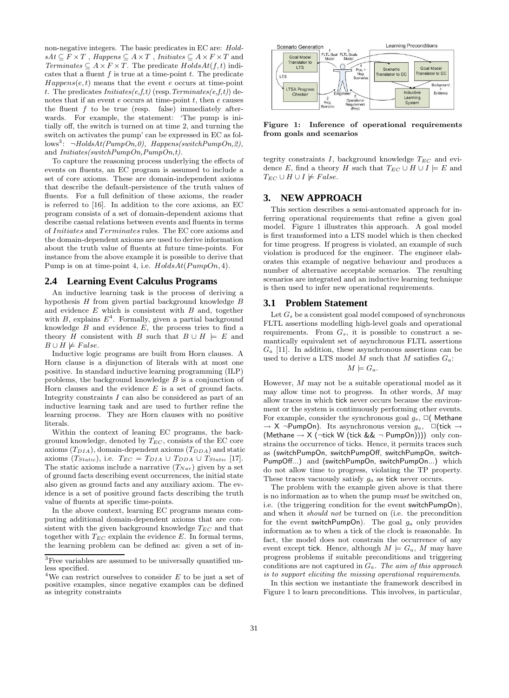non-negative integers. The basic predicates in EC are: *Hold* $sAt \subseteq F \times T$ , *Happens* ⊆  $A \times T$ , *Initiates* ⊆  $A \times F \times T$  and *Terminates*  $\subseteq A \times F \times T$ . The predicate  $HoldsAt(f,t)$  indicates that a fluent  $f$  is true at a time-point  $t$ . The predicate  $Happens(e, t)$  means that the event e occurs at time-point t. The predicates *Initiates(e,f,t)* (resp.*Terminates(e,f,t)*) denotes that if an event  $e$  occurs at time-point  $t$ , then  $e$  causes the fluent  $f$  to be true (resp. false) immediately afterwards. For example, the statement: 'The pump is initially off, the switch is turned on at time 2, and turning the switch on activates the pump' can be expressed in EC as follows<sup>3</sup>: <sup>¬</sup>*HoldsAt(PumpOn,0), Happens(switchPumpOn,2),* and *Initiates(switchPumpOn,PumpOn,t).*

To capture the reasoning process underlying the effects of events on fluents, an EC program is assumed to include a set of core axioms. These are domain-independent axioms that describe the default-persistence of the truth values of fluents. For a full definition of these axioms, the reader is referred to [16]. In addition to the core axioms, an EC program consists of a set of domain-dependent axioms that describe casual relations between events and fluents in terms of Initiates and Terminates rules. The EC core axioms and the domain-dependent axioms are used to derive information about the truth value of fluents at future time-points. For instance from the above example it is possible to derive that Pump is on at time-point 4, i.e.  $HoldsAt(PumpOn, 4)$ .

#### **2.4 Learning Event Calculus Programs**

An inductive learning task is the process of deriving a hypothesis  $H$  from given partial background knowledge  $B$ and evidence  $E$  which is consistent with  $B$  and, together with B, explains  $E^4$ . Formally, given a partial background knowledge  $B$  and evidence  $E$ , the process tries to find a theory H consistent with B such that  $B \cup H = E$  and  $B \cup H \not\models False.$ 

Inductive logic programs are built from Horn clauses. A Horn clause is a disjunction of literals with at most one positive. In standard inductive learning programming (ILP) problems, the background knowledge  $B$  is a conjunction of Horn clauses and the evidence  $E$  is a set of ground facts. Integrity constraints  $I$  can also be considered as part of an inductive learning task and are used to further refine the learning process. They are Horn clauses with no positive literals.

Within the context of leaning EC programs, the background knowledge, denoted by T*EC*, consists of the EC core axioms (T*DIA*), domain-dependent axioms (T*DDA*) and static axioms  $(T_{Static})$ , i.e.  $T_{EC} = T_{DIA} \cup T_{DDA} \cup T_{Static}$  [17]. The static axioms include a narrative  $(T_{Nar})$  given by a set of ground facts describing event occurrences, the initial state also given as ground facts and any auxiliary axiom. The evidence is a set of positive ground facts describing the truth value of fluents at specific time-points.

In the above context, learning EC programs means computing additional domain-dependent axioms that are consistent with the given background knowledge T*EC* and that together with  $T_{EC}$  explain the evidence  $E$ . In formal terms, the learning problem can be defined as: given a set of in-



**Figure 1: Inference of operational requirements from goals and scenarios**

tegrity constraints I, background knowledge T*EC* and evidence E, find a theory H such that  $T_{EC} \cup H \cup I \models E$  and  $T_{EC} \cup H \cup I \not\models False.$ 

# **3. NEW APPROACH**

This section describes a semi-automated approach for inferring operational requirements that refine a given goal model. Figure 1 illustrates this approach. A goal model is first transformed into a LTS model which is then checked for time progress. If progress is violated, an example of such violation is produced for the engineer. The engineer elaborates this example of negative behaviour and produces a number of alternative acceptable scenarios. The resulting scenarios are integrated and an inductive learning technique is then used to infer new operational requirements.

#### **3.1 Problem Statement**

Let  $G_s$  be a consistent goal model composed of synchronous FLTL assertions modelling high-level goals and operational requirements. From  $G_s$ , it is possible to construct a semantically equivalent set of asynchronous FLTL assertions  $G_a$  [11]. In addition, these asynchronous assertions can be used to derive a LTS model M such that M satisfies G*a*:

$$
M \models G_a.
$$

However, M may not be a suitable operational model as it may allow time not to progress. In other words, M may allow traces in which tick never occurs because the environment or the system is continuously performing other events. For example, consider the synchronous goal  $g_s$ ,  $\Box$ ( Methane  $\rightarrow$  X  $\neg$ PumpOn). Its asynchronous version  $g_a$ ,  $\Box$ (tick  $\rightarrow$ (Methane  $\rightarrow X$  ( $\neg$ tick W (tick &&  $\neg$  PumpOn)))) only constrains the occurrence of ticks. Hence, it permits traces such as (switchPumpOn, switchPumpOff, switchPumpOn, switch-PumpOff...) and (switchPumpOn, switchPumpOn...) which do not allow time to progress, violating the TP property. These traces vacuously satisfy g*<sup>a</sup>* as tick never occurs.

The problem with the example given above is that there is no information as to when the pump *must* be switched on, i.e. (the triggering condition for the event switchPumpOn), and when it *should not* be turned on (i.e. the precondition for the event switchPumpOn). The goal g*<sup>a</sup>* only provides information as to when a tick of the clock is reasonable. In fact, the model does not constrain the occurrence of any event except tick. Hence, although  $M \models G_a$ , M may have progress problems if suitable preconditions and triggering conditions are not captured in G*a*. *The aim of this approach is to support eliciting the missing operational requirements*.

In this section we instantiate the framework described in Figure 1 to learn preconditions. This involves, in particular,

<sup>3</sup>Free variables are assumed to be universally quantified unless specified.

<sup>&</sup>lt;sup>4</sup>We can restrict ourselves to consider  $E$  to be just a set of positive examples, since negative examples can be defined as integrity constraints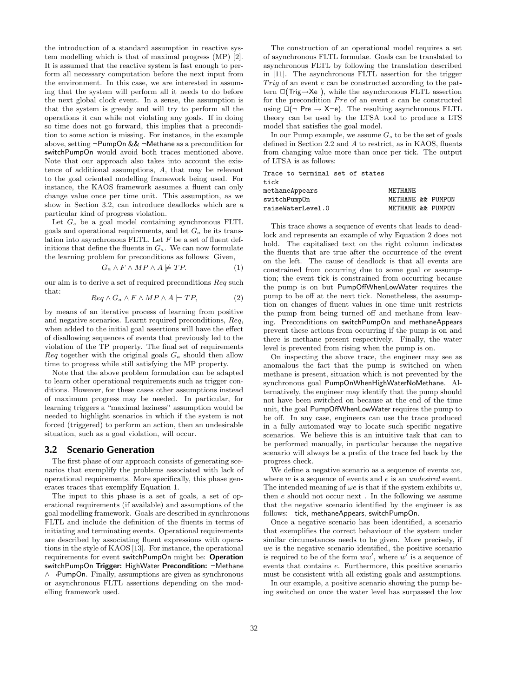the introduction of a standard assumption in reactive system modelling which is that of maximal progress (MP) [2]. It is assumed that the reactive system is fast enough to perform all necessary computation before the next input from the environment. In this case, we are interested in assuming that the system will perform all it needs to do before the next global clock event. In a sense, the assumption is that the system is greedy and will try to perform all the operations it can while not violating any goals. If in doing so time does not go forward, this implies that a precondition to some action is missing. For instance, in the example above, setting ¬PumpOn && ¬Methane as a precondition for switchPumpOn would avoid both traces mentioned above. Note that our approach also takes into account the existence of additional assumptions, A, that may be relevant to the goal oriented modelling framework being used. For instance, the KAOS framework assumes a fluent can only change value once per time unit. This assumption, as we show in Section 3.2, can introduce deadlocks which are a particular kind of progress violation.

Let G*<sup>s</sup>* be a goal model containing synchronous FLTL goals and operational requirements, and let G*<sup>a</sup>* be its translation into asynchronous FLTL. Let  $F$  be a set of fluent definitions that define the fluents in  $G_a$ . We can now formulate the learning problem for preconditions as follows: Given,

$$
G_a \wedge F \wedge MP \wedge A \not\models TP. \tag{1}
$$

our aim is to derive a set of required preconditions Req such that:

$$
Req \wedge G_a \wedge F \wedge MP \wedge A \models TP,
$$
 (2)

by means of an iterative process of learning from positive and negative scenarios. Learnt required preconditions, Req, when added to the initial goal assertions will have the effect of disallowing sequences of events that previously led to the violation of the TP property. The final set of requirements Req together with the original goals G*<sup>a</sup>* should then allow time to progress while still satisfying the MP property.

Note that the above problem formulation can be adapted to learn other operational requirements such as trigger conditions. However, for these cases other assumptions instead of maximum progress may be needed. In particular, for learning triggers a "maximal laziness" assumption would be needed to highlight scenarios in which if the system is not forced (triggered) to perform an action, then an undesirable situation, such as a goal violation, will occur.

#### **3.2 Scenario Generation**

The first phase of our approach consists of generating scenarios that exemplify the problems associated with lack of operational requirements. More specifically, this phase generates traces that exemplify Equation 1.

The input to this phase is a set of goals, a set of operational requirements (if available) and assumptions of the goal modelling framework. Goals are described in synchronous FLTL and include the definition of the fluents in terms of initiating and terminating events. Operational requirements are described by associating fluent expressions with operations in the style of KAOS [13]. For instance, the operational requirements for event switchPumpOn might be: **Operation** switchPumpOn **Trigger:** HighWater **Precondition:** ¬Methane ∧ ¬PumpOn. Finally, assumptions are given as synchronous or asynchronous FLTL assertions depending on the modelling framework used.

The construction of an operational model requires a set of asynchronous FLTL formulae. Goals can be translated to asynchronous FLTL by following the translation described in [11]. The asynchronous FLTL assertion for the trigger  $Trig$  of an event  $e$  can be constructed according to the pattern  $\Box$ (Trig $\rightarrow$ Xe), while the asynchronous FLTL assertion for the precondition Pre of an event e can be constructed using  $\Box(\neg \text{ Pre } \rightarrow X \neg \text{e})$ . The resulting asynchronous FLTL theory can be used by the LTSA tool to produce a LTS model that satisfies the goal model.

In our Pump example, we assume G*<sup>s</sup>* to be the set of goals defined in Section 2.2 and A to restrict, as in KAOS, fluents from changing value more than once per tick. The output of LTSA is as follows:

Trace to terminal set of states tick methaneAppears METHANE switchPumpOn METHANE && PUMPON raiseWaterLevel.0 METHANE && PUMPON

This trace shows a sequence of events that leads to deadlock and represents an example of why Equation 2 does not hold. The capitalised text on the right column indicates the fluents that are true after the occurrence of the event on the left. The cause of deadlock is that all events are constrained from occurring due to some goal or assumption; the event tick is constrained from occurring because the pump is on but PumpOffWhenLowWater requires the pump to be off at the next tick. Nonetheless, the assumption on changes of fluent values in one time unit restricts the pump from being turned off and methane from leaving. Preconditions on switchPumpOn and methaneAppears prevent these actions from occurring if the pump is on and there is methane present respectively. Finally, the water level is prevented from rising when the pump is on.

On inspecting the above trace, the engineer may see as anomalous the fact that the pump is switched on when methane is present, situation which is not prevented by the synchronous goal PumpOnWhenHighWaterNoMethane. Alternatively, the engineer may identify that the pump should not have been switched on because at the end of the time unit, the goal PumpOffWhenLowWater requires the pump to be off. In any case, engineers can use the trace produced in a fully automated way to locate such specific negative scenarios. We believe this is an intuitive task that can to be performed manually, in particular because the negative scenario will always be a prefix of the trace fed back by the progress check.

We define a negative scenario as a sequence of events we, where w is a sequence of events and e is an *undesired* event. The intended meaning of  $\omega e$  is that if the system exhibits w, then e should not occur next . In the following we assume that the negative scenario identified by the engineer is as follows: tick, methaneAppears, switchPumpOn.

Once a negative scenario has been identified, a scenario that exemplifies the correct behaviour of the system under similar circumstances needs to be given. More precisely, if we is the negative scenario identified, the positive scenario is required to be of the form  $ww'$ , where  $w'$  is a sequence of events that contains e. Furthermore, this positive scenario must be consistent with all existing goals and assumptions.

In our example, a positive scenario showing the pump being switched on once the water level has surpassed the low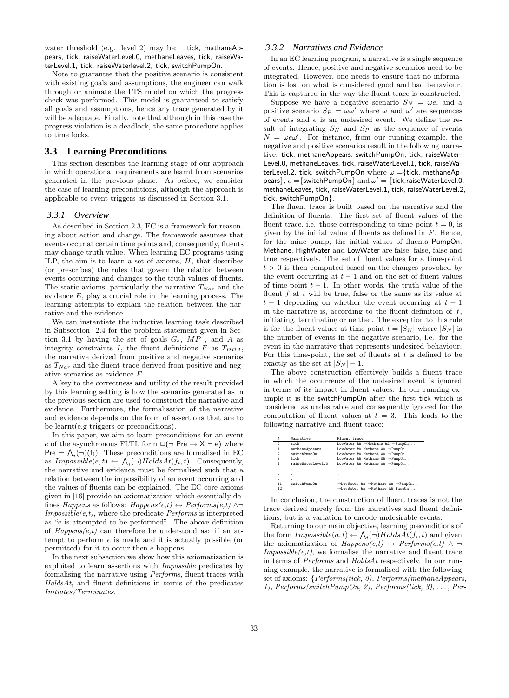water threshold (e.g. level 2) may be: tick, mathaneAppears, tick, raiseWaterLevel.0, methaneLeaves, tick, raiseWaterLevel.1, tick, raiseWaterlevel.2, tick, switchPumpOn.

Note to guarantee that the positive scenario is consistent with existing goals and assumptions, the engineer can walk through or animate the LTS model on which the progress check was performed. This model is guaranteed to satisfy all goals and assumptions, hence any trace generated by it will be adequate. Finally, note that although in this case the progress violation is a deadlock, the same procedure applies to time locks.

# **3.3 Learning Preconditions**

This section describes the learning stage of our approach in which operational requirements are learnt from scenarios generated in the previous phase. As before, we consider the case of learning preconditions, although the approach is applicable to event triggers as discussed in Section 3.1.

#### *3.3.1 Overview*

As described in Section 2.3, EC is a framework for reasoning about action and change. The framework assumes that events occur at certain time points and, consequently, fluents may change truth value. When learning EC programs using ILP, the aim is to learn a set of axioms,  $H$ , that describes (or prescribes) the rules that govern the relation between events occurring and changes to the truth values of fluents. The static axioms, particularly the narrative T*Nar* and the evidence  $E$ , play a crucial role in the learning process. The learning attempts to explain the relation between the narrative and the evidence.

We can instantiate the inductive learning task described in Subsection 2.4 for the problem statement given in Section 3.1 by having the set of goals  $G_a$ ,  $MP$ , and A as integrity constraints I, the fluent definitions F as T*DDA*, the narrative derived from positive and negative scenarios as T*Nar* and the fluent trace derived from positive and negative scenarios as evidence E.

A key to the correctness and utility of the result provided by this learning setting is how the scenarios generated as in the previous section are used to construct the narrative and evidence. Furthermore, the formalisation of the narrative and evidence depends on the form of assertions that are to be learnt(e.g triggers or preconditions).

In this paper, we aim to learn preconditions for an event e of the asynchronous FLTL form  $\square(\neg \text{ Pre } \rightarrow X \neg \text{ e})$  where  $Pre = \bigwedge_i (\neg)(f_i)$ . These preconditions are formalised in EC as  $Imposible(e, t) \leftarrow \bigwedge_i(\neg)HoldsAt(f_i, t)$ . Consequently, the narrative and evidence must be formalised such that a relation between the impossibility of an event occurring and the values of fluents can be explained. The EC core axioms given in [16] provide an axiomatization which essentially defines *Happens* as follows:  $Happens(e,t) \leftrightarrow Performs(e,t) \land \neg$ *Impossible(e,t)*, where the predicate *Performs* is interpreted as "e is attempted to be performed". The above definition of *Happens(e,t)* can therefore be understood as: if an attempt to perform e is made and it is actually possible (or permitted) for it to occur then e happens.

In the next subsection we show how this axiomatization is exploited to learn assertions with *Impossible* predicates by formalising the narrative using *Performs*, fluent traces with *HoldsAt*, and fluent definitions in terms of the predicates *Initiates/Terminates*.

#### *3.3.2 Narratives and Evidence*

In an EC learning program, a narrative is a single sequence of events. Hence, positive and negative scenarios need to be integrated. However, one needs to ensure that no information is lost on what is considered good and bad behaviour. This is captured in the way the fluent trace is constructed.

Suppose we have a negative scenario  $S_N = \omega e$ , and a positive scenario  $S_P = \omega \omega'$  where  $\omega$  and  $\omega'$  are sequences of events and e is an undesired event. We define the result of integrating S*<sup>N</sup>* and S*<sup>P</sup>* as the sequence of events  $N = \omega e \omega'$ . For instance, from our running example, the negative and positive scenarios result in the following narrative: tick, methaneAppears, switchPumpOn, tick, raiseWater-Level.0, methaneLeaves, tick, raiseWaterLevel.1, tick, raiseWaterLevel.2, tick, switchPumpOn where  $\omega = \{$ tick, methaneAppears},  $e =$ {switchPumpOn} and  $\omega' =$ {tick,raiseWaterLevel.0, methaneLeaves, tick, raiseWaterLevel.1, tick, raiseWaterLevel.2, tick, switchPumpOn}.

The fluent trace is built based on the narrative and the definition of fluents. The first set of fluent values of the fluent trace, i.e. those corresponding to time-point  $t = 0$ , is given by the initial value of fluents as defined in  $F$ . Hence, for the mine pump, the initial values of fluents PumpOn, Methane, HighWater and LowWater are false, false, false and true respectively. The set of fluent values for a time-point  $t > 0$  is then computed based on the changes provoked by the event occurring at  $t-1$  and on the set of fluent values of time-point  $t - 1$ . In other words, the truth value of the fluent  $f$  at  $t$  will be true, false or the same as its value at  $t-1$  depending on whether the event occurring at  $t-1$ in the narrative is, according to the fluent definition of  $f$ , initiating, terminating or neither. The exception to this rule is for the fluent values at time point  $t = |S_N|$  where  $|S_N|$  is the number of events in the negative scenario, i.e. for the event in the narrative that represents undesired behaviour. For this time-point, the set of fluents at  $t$  is defined to be exactly as the set at  $|S_N| - 1$ .

The above construction effectively builds a fluent trace in which the occurrence of the undesired event is ignored in terms of its impact in fluent values. In our running example it is the switchPumpOn after the first tick which is considered as undesirable and consequently ignored for the computation of fluent values at  $t = 3$ . This leads to the following narrative and fluent trace:

| t.             | Narrative         | Fluent trace                     |
|----------------|-------------------|----------------------------------|
| $\Omega$       | tick              | LowWater && -Methane && -PumpOn  |
| 1              | methaneAppears    | LowWater && Methane && -PumpOn   |
| $\overline{2}$ | switchPumpOn      | LowWater && Methane && -PumpOn   |
| 3              | tick              | LowWater && Methane && ¬PumpOn   |
| 4              | raiseWaterLevel.0 | LowWater && Methane && -PumpOn   |
|                | ä                 | ٠                                |
| ٠              | ٠                 | ٠                                |
| ٠              | ٠                 | ٠                                |
| 11             | switchPumpOn      | -LowWater && -Methane && -PumpOn |
| 12             |                   | -LowWater && -Methane && PumpOn  |

In conclusion, the construction of fluent traces is not the trace derived merely from the narratives and fluent definitions, but is a variation to encode undesirable events.

Returning to our main objective, learning preconditions of the form  $Impossible(a, t) \leftarrow \bigwedge_i(\neg)HoldsAt(f_i, t)$  and given the axiomatization of  $Happens(e,t) \leftrightarrow \text{Performs}(e,t) \land \neg$  $Imposible(e, t)$ , we formalise the narrative and fluent trace in terms of *Performs* and *HoldsAt* respectively. In our running example, the narrative is formalised with the following set of axioms: {*Performs(tick, 0), Performs(methaneAppears, 1), Performs(switchPumpOn, 2), Performs(tick, 3), . . . , Per-*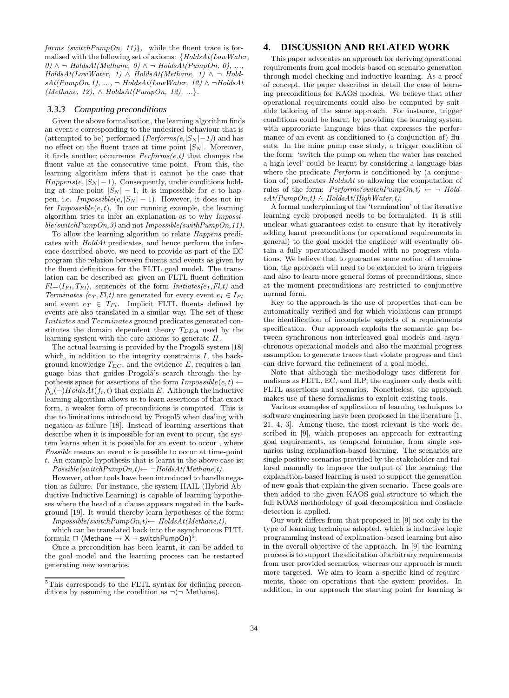*forms (switchPumpOn, 11)*}*,* while the fluent trace is formalised with the following set of axioms: {*HoldsAt(LowWater,*  $0)$  ∧ ¬ *HoldsAt*(Methane, 0) ∧ ¬ *HoldsAt*(PumpOn, 0), ...,  $HoldsAt(LowWater, 1) \wedge HoldsAt(Methane, 1) \wedge \neg Hold$ *sAt(PumpOn,1), ...,* ¬ *HoldsAt(LowWater, 12)* ∧ ¬*HoldsAt (Methane, 12),* ∧ *HoldsAt(PumpOn, 12), ...*}*.*

#### *3.3.3 Computing preconditions*

Given the above formalisation, the learning algorithm finds an event e corresponding to the undesired behaviour that is (attempted to be) performed  $(Performs(e, |S_N| - 1))$  and has no effect on the fluent trace at time point  $|S_N|$ . Moreover, it finds another occurrence *Performs(e,t)* that changes the fluent value at the consecutive time-point. From this, the learning algorithm infers that it cannot be the case that  $Happens(e, |S_N| - 1)$ . Consequently, under conditions holding at time-point  $|S_N| - 1$ , it is impossible for e to happen, i.e.  $Impossible(e, |S_N| - 1)$ . However, it does not infer  $Impossible(e, t)$ . In our running example, the learning algorithm tries to infer an explanation as to why *Impossible(switchPumpOn,3)* and not *Impossible(swithPumpOn,11)*.

To allow the learning algorithm to relate *Happens* predicates with *HoldAt* predicates, and hence perform the inference described above, we need to provide as part of the EC program the relation between fluents and events as given by the fluent definitions for the FLTL goal model. The translation can be described as: given an FLTL fluent definition  $Fl = \langle I_{Fl}, T_{Fl} \rangle$ , sentences of the form *Initiates(e<sub>I</sub>*, *Fl,t)* and *Terminates (e<sub>T</sub>,Fl,t)* are generated for every event  $e_I \in I_{Fl}$ and event  $e_T \in T_{Fl}$ . Implicit FLTL fluents defined by events are also translated in a similar way. The set of these Initiates and Terminates ground predicates generated constitutes the domain dependent theory T*DDA* used by the learning system with the core axioms to generate H.

The actual learning is provided by the Progol5 system [18] which, in addition to the integrity constraints  $I$ , the background knowledge  $T_{EC}$ , and the evidence  $E$ , requires a language bias that guides Progol5's search through the hy- $\bigwedge_i(\neg)HoldsAt(f_i,t)$  that explain E. Although the inductive potheses space for assertions of the form  $Impossible(e, t) \leftarrow$ learning algorithm allows us to learn assertions of that exact form, a weaker form of preconditions is computed. This is due to limitations introduced by Progol5 when dealing with negation as failure [18]. Instead of learning assertions that describe when it is impossible for an event to occur, the system learns when it is possible for an event to occur , where *Possible* means an event e is possible to occur at time-point t. An example hypothesis that is learnt in the above case is:

*Possible(switchPumpOn,t)*← ¬*HoldsAt(Methane,t).*

However, other tools have been introduced to handle negation as failure. For instance, the system HAIL (Hybrid Abductive Inductive Learning) is capable of learning hypotheses where the head of a clause appears negated in the background [19]. It would thereby learn hypotheses of the form:

*Impossible(switchPumpOn,t)*← *HoldsAt(Methane,t),*

which can be translated back into the asynchronous FLTL formula  $\Box$  (Methane  $\rightarrow X \neg$  switchPumpOn)<sup>5</sup>.

Once a precondition has been learnt, it can be added to the goal model and the learning process can be restarted generating new scenarios.

# **4. DISCUSSION AND RELATED WORK**

This paper advocates an approach for deriving operational requirements from goal models based on scenario generation through model checking and inductive learning. As a proof of concept, the paper describes in detail the case of learning preconditions for KAOS models. We believe that other operational requirements could also be computed by suitable tailoring of the same approach. For instance, trigger conditions could be learnt by providing the learning system with appropriate language bias that expresses the performance of an event as conditioned to (a conjunction of) fluents. In the mine pump case study, a trigger condition of the form: 'switch the pump on when the water has reached a high level' could be learnt by considering a language bias where the predicate *Perform* is conditioned by (a conjunction of) predicates *HoldsAt* so allowing the computation of rules of the form:  $Performs(switchPumpOn, t) \leftarrow \neg$  *Hold* $sAt(PumpOn,t) \wedge HoldsAt(HighWater,t).$ 

A formal underpinning of the 'termination' of the iterative learning cycle proposed needs to be formulated. It is still unclear what guarantees exist to ensure that by iteratively adding learnt preconditions (or operational requirements in general) to the goal model the engineer will eventually obtain a fully operationalised model with no progress violations. We believe that to guarantee some notion of termination, the approach will need to be extended to learn triggers and also to learn more general forms of preconditions, since at the moment preconditions are restricted to conjunctive normal form.

Key to the approach is the use of properties that can be automatically verified and for which violations can prompt the identification of incomplete aspects of a requirements specification. Our approach exploits the semantic gap between synchronous non-interleaved goal models and asynchronous operational models and also the maximal progress assumption to generate traces that violate progress and that can drive forward the refinement of a goal model.

Note that although the methodology uses different formalisms as FLTL, EC, and ILP, the engineer only deals with FLTL assertions and scenarios. Nonetheless, the approach makes use of these formalisms to exploit existing tools.

Various examples of application of learning techniques to software engineering have been proposed in the literature [1, 21, 4, 3]. Among these, the most relevant is the work described in [9], which proposes an approach for extracting goal requirements, as temporal formulae, from single scenarios using explanation-based learning. The scenarios are single positive scenarios provided by the stakeholder and tailored manually to improve the output of the learning; the explanation-based learning is used to support the generation of new goals that explain the given scenario. These goals are then added to the given KAOS goal structure to which the full KOAS methodology of goal decomposition and obstacle detection is applied.

Our work differs from that proposed in [9] not only in the type of learning technique adopted, which is inductive logic programming instead of explanation-based learning but also in the overall objective of the approach. In [9] the learning process is to support the elicitation of arbitrary requirements from user provided scenarios, whereas our approach is much more targeted. We aim to learn a specific kind of requirements, those on operations that the system provides. In addition, in our approach the starting point for learning is

<sup>&</sup>lt;sup>5</sup>This corresponds to the FLTL syntax for defining preconditions by assuming the condition as  $\neg(\neg \text{ Methane})$ .